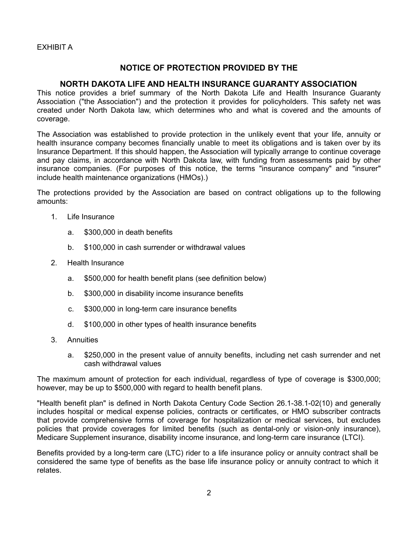EXHIBIT A

## NOTICE OF PROTECTION PROVIDED BY THE

## NORTH DAKOTA LIFE AND HEALTH INSURANCE GUARANTY ASSOCIATION

This notice provides a brief summary of the North Dakota Life and Health Insurance Guaranty Association ("the Association") and the protection it provides for policyholders. This safety net was created under North Dakota law, which determines who and what is covered and the amounts of coverage.

The Association was established to provide protection in the unlikely event that your life, annuity or health insurance company becomes financially unable to meet its obligations and is taken over by its Insurance Department. If this should happen, the Association will typically arrange to continue coverage and pay claims, in accordance with North Dakota law, with funding from assessments paid by other insurance companies. (For purposes of this notice, the terms "insurance company" and "insurer" include health maintenance organizations (HMOs).)

The protections provided by the Association are based on contract obligations up to the following amounts:

- 1. Life Insurance
	- a. \$300,000 in death benefits
	- b. \$100,000 in cash surrender or withdrawal values
- 2. Health Insurance
	- a. \$500,000 for health benefit plans (see definition below)
	- b. \$300,000 in disability income insurance benefits
	- c. \$300,000 in long-term care insurance benefits
	- d. \$100,000 in other types of health insurance benefits
- 3. Annuities
	- a. \$250,000 in the present value of annuity benefits, including net cash surrender and net cash withdrawal values

The maximum amount of protection for each individual, regardless of type of coverage is \$300,000; however, may be up to \$500,000 with regard to health benefit plans.

"Health benefit plan" is defined in North Dakota Century Code Section 26.1-38.1-02(10) and generally includes hospital or medical expense policies, contracts or certificates, or HMO subscriber contracts that provide comprehensive forms of coverage for hospitalization or medical services, but excludes policies that provide coverages for limited benefits (such as dental-only or vision-only insurance), Medicare Supplement insurance, disability income insurance, and long-term care insurance (LTCI).

Benefits provided by a long-term care (LTC) rider to a life insurance policy or annuity contract shall be considered the same type of benefits as the base life insurance policy or annuity contract to which it relates.